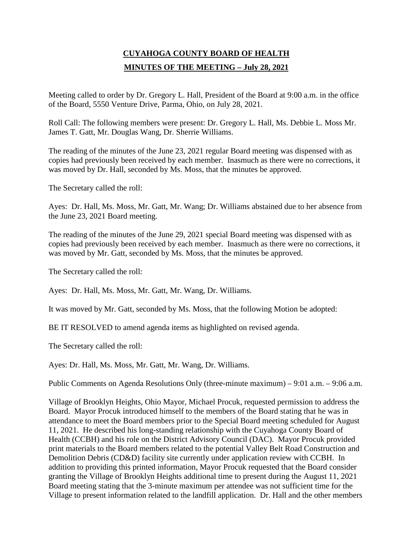# **CUYAHOGA COUNTY BOARD OF HEALTH MINUTES OF THE MEETING – July 28, 2021**

Meeting called to order by Dr. Gregory L. Hall, President of the Board at 9:00 a.m. in the office of the Board, 5550 Venture Drive, Parma, Ohio, on July 28, 2021.

Roll Call: The following members were present: Dr. Gregory L. Hall, Ms. Debbie L. Moss Mr. James T. Gatt, Mr. Douglas Wang, Dr. Sherrie Williams.

The reading of the minutes of the June 23, 2021 regular Board meeting was dispensed with as copies had previously been received by each member. Inasmuch as there were no corrections, it was moved by Dr. Hall, seconded by Ms. Moss, that the minutes be approved.

The Secretary called the roll:

Ayes: Dr. Hall, Ms. Moss, Mr. Gatt, Mr. Wang; Dr. Williams abstained due to her absence from the June 23, 2021 Board meeting.

The reading of the minutes of the June 29, 2021 special Board meeting was dispensed with as copies had previously been received by each member. Inasmuch as there were no corrections, it was moved by Mr. Gatt, seconded by Ms. Moss, that the minutes be approved.

The Secretary called the roll:

Ayes: Dr. Hall, Ms. Moss, Mr. Gatt, Mr. Wang, Dr. Williams.

It was moved by Mr. Gatt, seconded by Ms. Moss, that the following Motion be adopted:

BE IT RESOLVED to amend agenda items as highlighted on revised agenda.

The Secretary called the roll:

Ayes: Dr. Hall, Ms. Moss, Mr. Gatt, Mr. Wang, Dr. Williams.

Public Comments on Agenda Resolutions Only (three-minute maximum) – 9:01 a.m. – 9:06 a.m.

Village of Brooklyn Heights, Ohio Mayor, Michael Procuk, requested permission to address the Board. Mayor Procuk introduced himself to the members of the Board stating that he was in attendance to meet the Board members prior to the Special Board meeting scheduled for August 11, 2021. He described his long-standing relationship with the Cuyahoga County Board of Health (CCBH) and his role on the District Advisory Council (DAC). Mayor Procuk provided print materials to the Board members related to the potential Valley Belt Road Construction and Demolition Debris (CD&D) facility site currently under application review with CCBH. In addition to providing this printed information, Mayor Procuk requested that the Board consider granting the Village of Brooklyn Heights additional time to present during the August 11, 2021 Board meeting stating that the 3-minute maximum per attendee was not sufficient time for the Village to present information related to the landfill application. Dr. Hall and the other members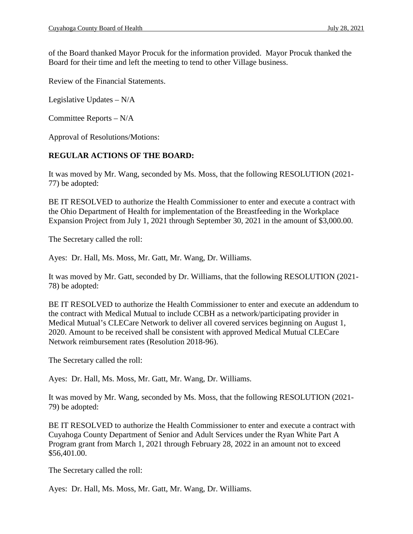of the Board thanked Mayor Procuk for the information provided. Mayor Procuk thanked the Board for their time and left the meeting to tend to other Village business.

Review of the Financial Statements.

Legislative Updates – N/A

Committee Reports – N/A

Approval of Resolutions/Motions:

### **REGULAR ACTIONS OF THE BOARD:**

It was moved by Mr. Wang, seconded by Ms. Moss, that the following RESOLUTION (2021- 77) be adopted:

BE IT RESOLVED to authorize the Health Commissioner to enter and execute a contract with the Ohio Department of Health for implementation of the Breastfeeding in the Workplace Expansion Project from July 1, 2021 through September 30, 2021 in the amount of \$3,000.00.

The Secretary called the roll:

Ayes: Dr. Hall, Ms. Moss, Mr. Gatt, Mr. Wang, Dr. Williams.

It was moved by Mr. Gatt, seconded by Dr. Williams, that the following RESOLUTION (2021- 78) be adopted:

BE IT RESOLVED to authorize the Health Commissioner to enter and execute an addendum to the contract with Medical Mutual to include CCBH as a network/participating provider in Medical Mutual's CLECare Network to deliver all covered services beginning on August 1, 2020. Amount to be received shall be consistent with approved Medical Mutual CLECare Network reimbursement rates (Resolution 2018-96).

The Secretary called the roll:

Ayes: Dr. Hall, Ms. Moss, Mr. Gatt, Mr. Wang, Dr. Williams.

It was moved by Mr. Wang, seconded by Ms. Moss, that the following RESOLUTION (2021- 79) be adopted:

BE IT RESOLVED to authorize the Health Commissioner to enter and execute a contract with Cuyahoga County Department of Senior and Adult Services under the Ryan White Part A Program grant from March 1, 2021 through February 28, 2022 in an amount not to exceed \$56,401.00.

The Secretary called the roll:

Ayes: Dr. Hall, Ms. Moss, Mr. Gatt, Mr. Wang, Dr. Williams.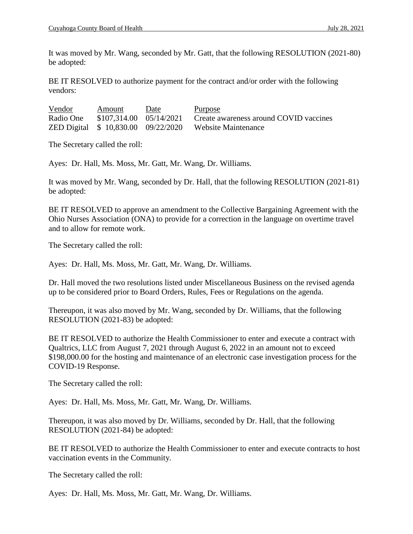It was moved by Mr. Wang, seconded by Mr. Gatt, that the following RESOLUTION (2021-80) be adopted:

BE IT RESOLVED to authorize payment for the contract and/or order with the following vendors:

| Vendor    | Amount | Date | <u>Purpose</u>                                                 |
|-----------|--------|------|----------------------------------------------------------------|
| Radio One |        |      | \$107,314.00 05/14/2021 Create awareness around COVID vaccines |
|           |        |      | ZED Digital \$10,830.00 09/22/2020 Website Maintenance         |

The Secretary called the roll:

Ayes: Dr. Hall, Ms. Moss, Mr. Gatt, Mr. Wang, Dr. Williams.

It was moved by Mr. Wang, seconded by Dr. Hall, that the following RESOLUTION (2021-81) be adopted:

BE IT RESOLVED to approve an amendment to the Collective Bargaining Agreement with the Ohio Nurses Association (ONA) to provide for a correction in the language on overtime travel and to allow for remote work.

The Secretary called the roll:

Ayes: Dr. Hall, Ms. Moss, Mr. Gatt, Mr. Wang, Dr. Williams.

Dr. Hall moved the two resolutions listed under Miscellaneous Business on the revised agenda up to be considered prior to Board Orders, Rules, Fees or Regulations on the agenda.

Thereupon, it was also moved by Mr. Wang, seconded by Dr. Williams, that the following RESOLUTION (2021-83) be adopted:

BE IT RESOLVED to authorize the Health Commissioner to enter and execute a contract with Qualtrics, LLC from August 7, 2021 through August 6, 2022 in an amount not to exceed \$198,000.00 for the hosting and maintenance of an electronic case investigation process for the COVID-19 Response.

The Secretary called the roll:

Ayes: Dr. Hall, Ms. Moss, Mr. Gatt, Mr. Wang, Dr. Williams.

Thereupon, it was also moved by Dr. Williams, seconded by Dr. Hall, that the following RESOLUTION (2021-84) be adopted:

BE IT RESOLVED to authorize the Health Commissioner to enter and execute contracts to host vaccination events in the Community.

The Secretary called the roll:

Ayes: Dr. Hall, Ms. Moss, Mr. Gatt, Mr. Wang, Dr. Williams.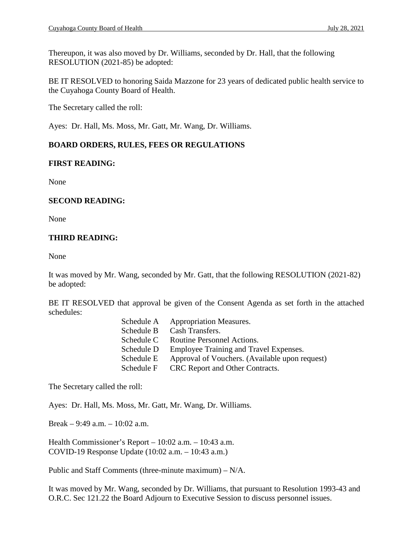Thereupon, it was also moved by Dr. Williams, seconded by Dr. Hall, that the following RESOLUTION (2021-85) be adopted:

BE IT RESOLVED to honoring Saida Mazzone for 23 years of dedicated public health service to the Cuyahoga County Board of Health.

The Secretary called the roll:

Ayes: Dr. Hall, Ms. Moss, Mr. Gatt, Mr. Wang, Dr. Williams.

## **BOARD ORDERS, RULES, FEES OR REGULATIONS**

### **FIRST READING:**

None

### **SECOND READING:**

None

## **THIRD READING:**

None

It was moved by Mr. Wang, seconded by Mr. Gatt, that the following RESOLUTION (2021-82) be adopted:

BE IT RESOLVED that approval be given of the Consent Agenda as set forth in the attached schedules:

| Schedule A | <b>Appropriation Measures.</b>                 |
|------------|------------------------------------------------|
| Schedule B | Cash Transfers.                                |
| Schedule C | Routine Personnel Actions.                     |
| Schedule D | Employee Training and Travel Expenses.         |
| Schedule E | Approval of Vouchers. (Available upon request) |
| Schedule F | CRC Report and Other Contracts.                |
|            |                                                |

The Secretary called the roll:

Ayes: Dr. Hall, Ms. Moss, Mr. Gatt, Mr. Wang, Dr. Williams.

Break – 9:49 a.m. – 10:02 a.m.

Health Commissioner's Report – 10:02 a.m. – 10:43 a.m. COVID-19 Response Update (10:02 a.m. – 10:43 a.m.)

Public and Staff Comments (three-minute maximum) – N/A.

It was moved by Mr. Wang, seconded by Dr. Williams, that pursuant to Resolution 1993-43 and O.R.C. Sec 121.22 the Board Adjourn to Executive Session to discuss personnel issues.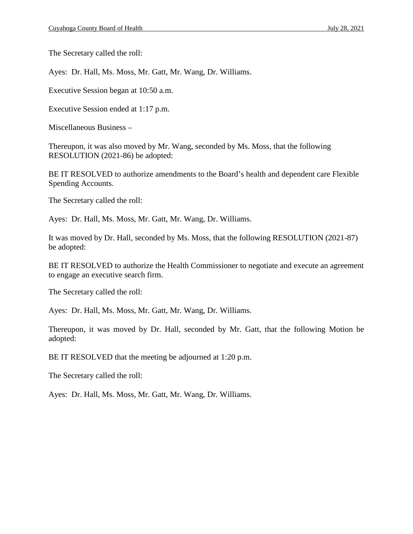The Secretary called the roll:

Ayes: Dr. Hall, Ms. Moss, Mr. Gatt, Mr. Wang, Dr. Williams.

Executive Session began at 10:50 a.m.

Executive Session ended at 1:17 p.m.

Miscellaneous Business –

Thereupon, it was also moved by Mr. Wang, seconded by Ms. Moss, that the following RESOLUTION (2021-86) be adopted:

BE IT RESOLVED to authorize amendments to the Board's health and dependent care Flexible Spending Accounts.

The Secretary called the roll:

Ayes: Dr. Hall, Ms. Moss, Mr. Gatt, Mr. Wang, Dr. Williams.

It was moved by Dr. Hall, seconded by Ms. Moss, that the following RESOLUTION (2021-87) be adopted:

BE IT RESOLVED to authorize the Health Commissioner to negotiate and execute an agreement to engage an executive search firm.

The Secretary called the roll:

Ayes: Dr. Hall, Ms. Moss, Mr. Gatt, Mr. Wang, Dr. Williams.

Thereupon, it was moved by Dr. Hall, seconded by Mr. Gatt, that the following Motion be adopted:

BE IT RESOLVED that the meeting be adjourned at 1:20 p.m.

The Secretary called the roll:

Ayes: Dr. Hall, Ms. Moss, Mr. Gatt, Mr. Wang, Dr. Williams.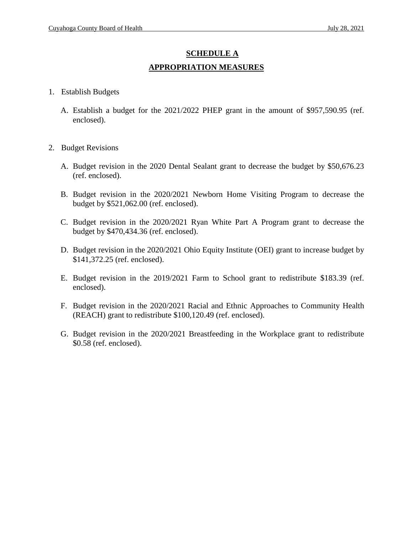# **SCHEDULE A APPROPRIATION MEASURES**

- 1. Establish Budgets
	- A. Establish a budget for the 2021/2022 PHEP grant in the amount of \$957,590.95 (ref. enclosed).
- 2. Budget Revisions
	- A. Budget revision in the 2020 Dental Sealant grant to decrease the budget by \$50,676.23 (ref. enclosed).
	- B. Budget revision in the 2020/2021 Newborn Home Visiting Program to decrease the budget by \$521,062.00 (ref. enclosed).
	- C. Budget revision in the 2020/2021 Ryan White Part A Program grant to decrease the budget by \$470,434.36 (ref. enclosed).
	- D. Budget revision in the 2020/2021 Ohio Equity Institute (OEI) grant to increase budget by \$141,372.25 (ref. enclosed).
	- E. Budget revision in the 2019/2021 Farm to School grant to redistribute \$183.39 (ref. enclosed).
	- F. Budget revision in the 2020/2021 Racial and Ethnic Approaches to Community Health (REACH) grant to redistribute \$100,120.49 (ref. enclosed).
	- G. Budget revision in the 2020/2021 Breastfeeding in the Workplace grant to redistribute \$0.58 (ref. enclosed).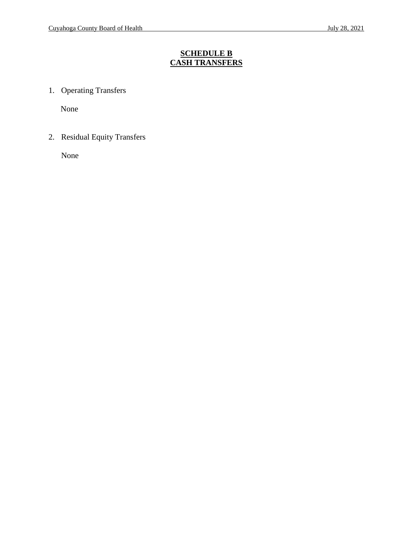# **SCHEDULE B CASH TRANSFERS**

1. Operating Transfers

None

2. Residual Equity Transfers

None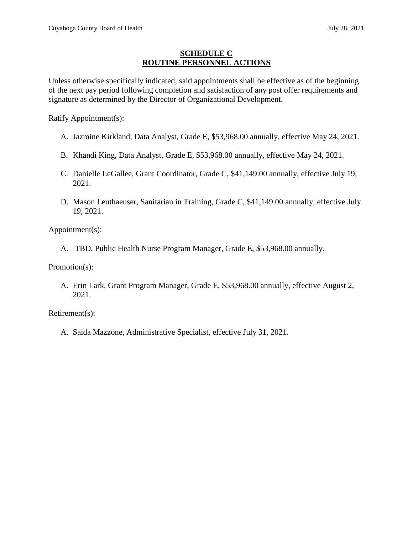## **SCHEDULE C ROUTINE PERSONNEL ACTIONS**

Unless otherwise specifically indicated, said appointments shall be effective as of the beginning of the next pay period following completion and satisfaction of any post offer requirements and signature as determined by the Director of Organizational Development.

Ratify Appointment(s):

- A. Jazmine Kirkland, Data Analyst, Grade E, \$53,968.00 annually, effective May 24, 2021.
- B. Khandi King, Data Analyst, Grade E, \$53,968.00 annually, effective May 24, 2021.
- C. Danielle LeGallee, Grant Coordinator, Grade C, \$41,149.00 annually, effective July 19, 2021.
- D. Mason Leuthaeuser, Sanitarian in Training, Grade C, \$41,149.00 annually, effective July 19, 2021.

Appointment(s):

A. TBD, Public Health Nurse Program Manager, Grade E, \$53,968.00 annually.

Promotion(s):

A. Erin Lark, Grant Program Manager, Grade E, \$53,968.00 annually, effective August 2, 2021.

Retirement(s):

A. Saida Mazzone, Administrative Specialist, effective July 31, 2021.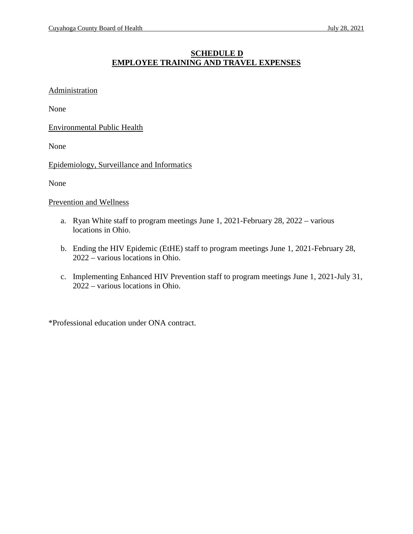# **SCHEDULE D EMPLOYEE TRAINING AND TRAVEL EXPENSES**

#### **Administration**

None

Environmental Public Health

None

Epidemiology, Surveillance and Informatics

None

Prevention and Wellness

- a. Ryan White staff to program meetings June 1, 2021-February 28, 2022 various locations in Ohio.
- b. Ending the HIV Epidemic (EtHE) staff to program meetings June 1, 2021-February 28, 2022 – various locations in Ohio.
- c. Implementing Enhanced HIV Prevention staff to program meetings June 1, 2021-July 31, 2022 – various locations in Ohio.

\*Professional education under ONA contract.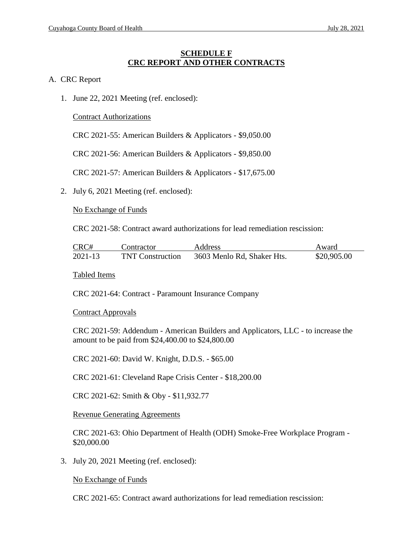### **SCHEDULE F CRC REPORT AND OTHER CONTRACTS**

#### A. CRC Report

1. June 22, 2021 Meeting (ref. enclosed):

Contract Authorizations

CRC 2021-55: American Builders & Applicators - \$9,050.00

CRC 2021-56: American Builders & Applicators - \$9,850.00

CRC 2021-57: American Builders & Applicators - \$17,675.00

2. July 6, 2021 Meeting (ref. enclosed):

No Exchange of Funds

CRC 2021-58: Contract award authorizations for lead remediation rescission:

| CRC#        | Contractor              | <b>Address</b>             | Award       |
|-------------|-------------------------|----------------------------|-------------|
| $2021 - 13$ | <b>TNT Construction</b> | 3603 Menlo Rd, Shaker Hts. | \$20,905.00 |

Tabled Items

CRC 2021-64: Contract - Paramount Insurance Company

Contract Approvals

CRC 2021-59: Addendum - American Builders and Applicators, LLC - to increase the amount to be paid from \$24,400.00 to \$24,800.00

CRC 2021-60: David W. Knight, D.D.S. - \$65.00

CRC 2021-61: Cleveland Rape Crisis Center - \$18,200.00

CRC 2021-62: Smith & Oby - \$11,932.77

Revenue Generating Agreements

CRC 2021-63: Ohio Department of Health (ODH) Smoke-Free Workplace Program - \$20,000.00

3. July 20, 2021 Meeting (ref. enclosed):

No Exchange of Funds

CRC 2021-65: Contract award authorizations for lead remediation rescission: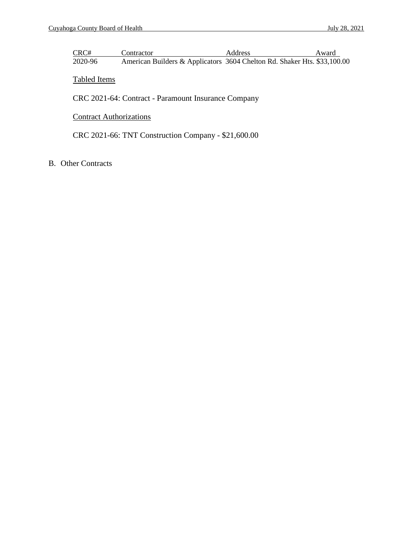| CRC#    | Contractor                                                               | <b>Address</b> | Award |
|---------|--------------------------------------------------------------------------|----------------|-------|
| 2020-96 | American Builders & Applicators 3604 Chelton Rd. Shaker Hts. \$33,100.00 |                |       |

Tabled Items

CRC 2021-64: Contract - Paramount Insurance Company

# **Contract Authorizations**

CRC 2021-66: TNT Construction Company - \$21,600.00

B. Other Contracts